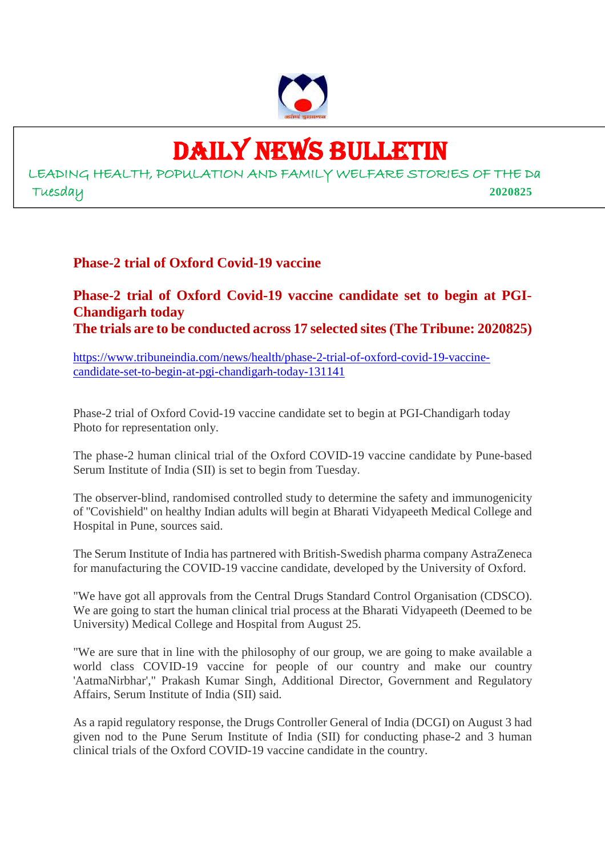

## DAILY NEWS BULLETIN

LEADING HEALTH, POPULATION AND FAMILY WELFARE STORIES OF THE Da Tuesday **2020825**

## **Phase-2 trial of Oxford Covid-19 vaccine**

## **Phase-2 trial of Oxford Covid-19 vaccine candidate set to begin at PGI-Chandigarh today The trials are to be conducted across 17 selected sites (The Tribune: 2020825)**

https://www.tribuneindia.com/news/health/phase-2-trial-of-oxford-covid-19-vaccinecandidate-set-to-begin-at-pgi-chandigarh-today-131141

Phase-2 trial of Oxford Covid-19 vaccine candidate set to begin at PGI-Chandigarh today Photo for representation only.

The phase-2 human clinical trial of the Oxford COVID-19 vaccine candidate by Pune-based Serum Institute of India (SII) is set to begin from Tuesday.

The observer-blind, randomised controlled study to determine the safety and immunogenicity of ''Covishield'' on healthy Indian adults will begin at Bharati Vidyapeeth Medical College and Hospital in Pune, sources said.

The Serum Institute of India has partnered with British-Swedish pharma company AstraZeneca for manufacturing the COVID-19 vaccine candidate, developed by the University of Oxford.

"We have got all approvals from the Central Drugs Standard Control Organisation (CDSCO). We are going to start the human clinical trial process at the Bharati Vidyapeeth (Deemed to be University) Medical College and Hospital from August 25.

"We are sure that in line with the philosophy of our group, we are going to make available a world class COVID-19 vaccine for people of our country and make our country 'AatmaNirbhar'," Prakash Kumar Singh, Additional Director, Government and Regulatory Affairs, Serum Institute of India (SII) said.

As a rapid regulatory response, the Drugs Controller General of India (DCGI) on August 3 had given nod to the Pune Serum Institute of India (SII) for conducting phase-2 and 3 human clinical trials of the Oxford COVID-19 vaccine candidate in the country.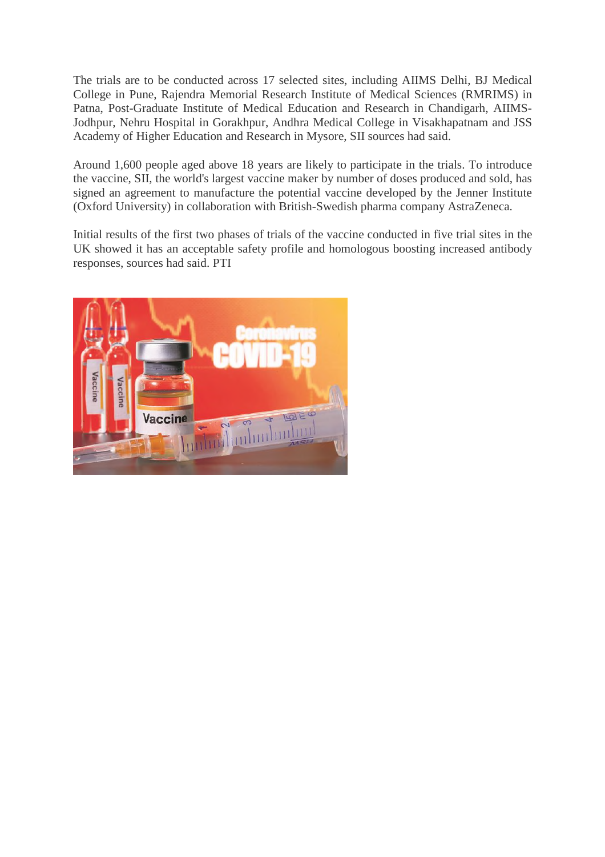The trials are to be conducted across 17 selected sites, including AIIMS Delhi, BJ Medical College in Pune, Rajendra Memorial Research Institute of Medical Sciences (RMRIMS) in Patna, Post-Graduate Institute of Medical Education and Research in Chandigarh, AIIMS-Jodhpur, Nehru Hospital in Gorakhpur, Andhra Medical College in Visakhapatnam and JSS Academy of Higher Education and Research in Mysore, SII sources had said.

Around 1,600 people aged above 18 years are likely to participate in the trials. To introduce the vaccine, SII, the world's largest vaccine maker by number of doses produced and sold, has signed an agreement to manufacture the potential vaccine developed by the Jenner Institute (Oxford University) in collaboration with British-Swedish pharma company AstraZeneca.

Initial results of the first two phases of trials of the vaccine conducted in five trial sites in the UK showed it has an acceptable safety profile and homologous boosting increased antibody responses, sources had said. PTI

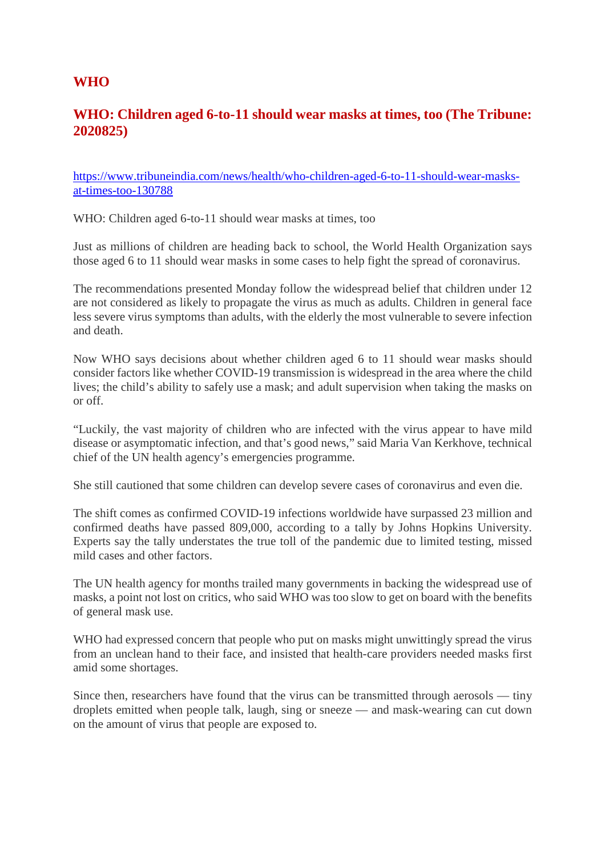## **WHO**

## **WHO: Children aged 6-to-11 should wear masks at times, too (The Tribune: 2020825)**

https://www.tribuneindia.com/news/health/who-children-aged-6-to-11-should-wear-masksat-times-too-130788

WHO: Children aged 6-to-11 should wear masks at times, too

Just as millions of children are heading back to school, the World Health Organization says those aged 6 to 11 should wear masks in some cases to help fight the spread of coronavirus.

The recommendations presented Monday follow the widespread belief that children under 12 are not considered as likely to propagate the virus as much as adults. Children in general face less severe virus symptoms than adults, with the elderly the most vulnerable to severe infection and death.

Now WHO says decisions about whether children aged 6 to 11 should wear masks should consider factors like whether COVID-19 transmission is widespread in the area where the child lives; the child's ability to safely use a mask; and adult supervision when taking the masks on or off.

"Luckily, the vast majority of children who are infected with the virus appear to have mild disease or asymptomatic infection, and that's good news," said Maria Van Kerkhove, technical chief of the UN health agency's emergencies programme.

She still cautioned that some children can develop severe cases of coronavirus and even die.

The shift comes as confirmed COVID-19 infections worldwide have surpassed 23 million and confirmed deaths have passed 809,000, according to a tally by Johns Hopkins University. Experts say the tally understates the true toll of the pandemic due to limited testing, missed mild cases and other factors.

The UN health agency for months trailed many governments in backing the widespread use of masks, a point not lost on critics, who said WHO was too slow to get on board with the benefits of general mask use.

WHO had expressed concern that people who put on masks might unwittingly spread the virus from an unclean hand to their face, and insisted that health-care providers needed masks first amid some shortages.

Since then, researchers have found that the virus can be transmitted through aerosols — tiny droplets emitted when people talk, laugh, sing or sneeze — and mask-wearing can cut down on the amount of virus that people are exposed to.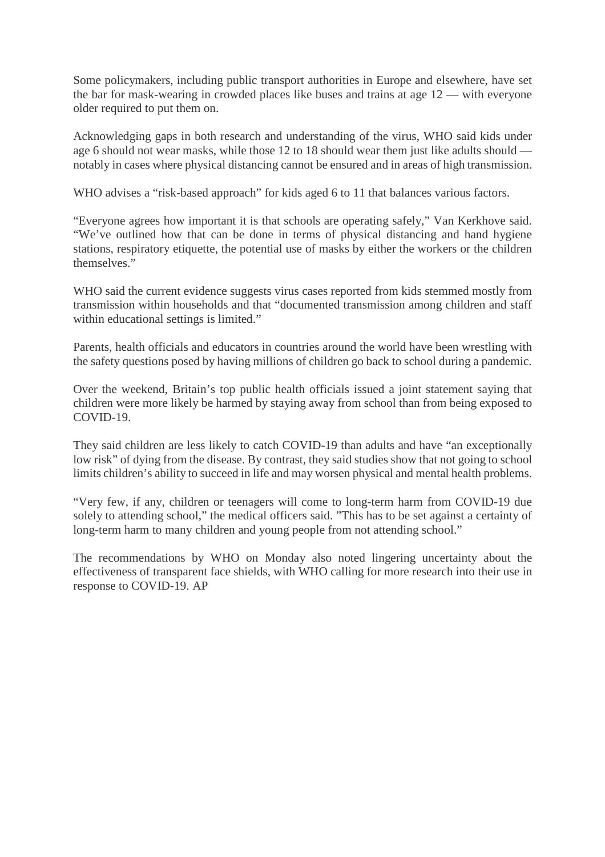Some policymakers, including public transport authorities in Europe and elsewhere, have set the bar for mask-wearing in crowded places like buses and trains at age 12 — with everyone older required to put them on.

Acknowledging gaps in both research and understanding of the virus, WHO said kids under age 6 should not wear masks, while those 12 to 18 should wear them just like adults should notably in cases where physical distancing cannot be ensured and in areas of high transmission.

WHO advises a "risk-based approach" for kids aged 6 to 11 that balances various factors.

"Everyone agrees how important it is that schools are operating safely," Van Kerkhove said. "We've outlined how that can be done in terms of physical distancing and hand hygiene stations, respiratory etiquette, the potential use of masks by either the workers or the children themselves."

WHO said the current evidence suggests virus cases reported from kids stemmed mostly from transmission within households and that "documented transmission among children and staff within educational settings is limited."

Parents, health officials and educators in countries around the world have been wrestling with the safety questions posed by having millions of children go back to school during a pandemic.

Over the weekend, Britain's top public health officials issued a joint statement saying that children were more likely be harmed by staying away from school than from being exposed to COVID-19.

They said children are less likely to catch COVID-19 than adults and have "an exceptionally low risk" of dying from the disease. By contrast, they said studies show that not going to school limits children's ability to succeed in life and may worsen physical and mental health problems.

"Very few, if any, children or teenagers will come to long-term harm from COVID-19 due solely to attending school," the medical officers said. "This has to be set against a certainty of long-term harm to many children and young people from not attending school."

The recommendations by WHO on Monday also noted lingering uncertainty about the effectiveness of transparent face shields, with WHO calling for more research into their use in response to COVID-19. AP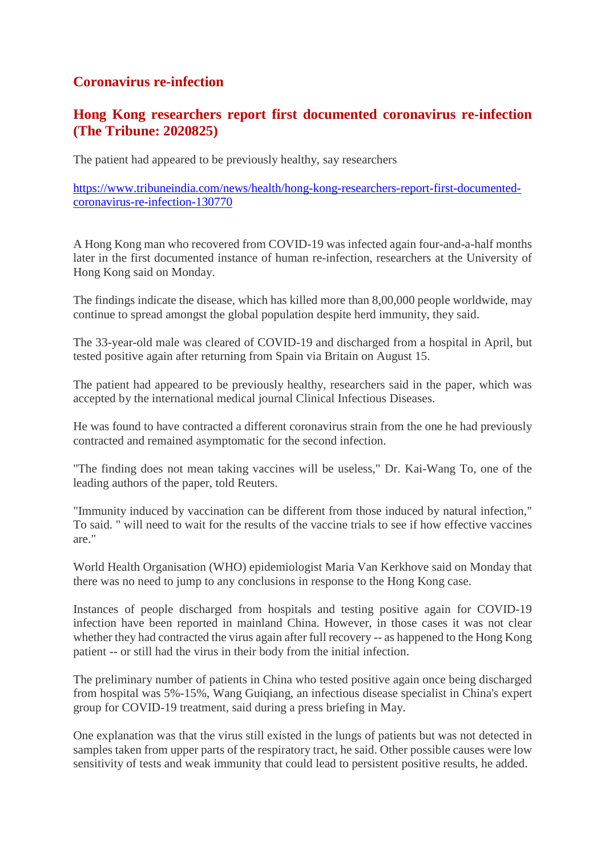## **Coronavirus re-infection**

## **Hong Kong researchers report first documented coronavirus re-infection (The Tribune: 2020825)**

The patient had appeared to be previously healthy, say researchers

https://www.tribuneindia.com/news/health/hong-kong-researchers-report-first-documentedcoronavirus-re-infection-130770

A Hong Kong man who recovered from COVID-19 was infected again four-and-a-half months later in the first documented instance of human re-infection, researchers at the University of Hong Kong said on Monday.

The findings indicate the disease, which has killed more than 8,00,000 people worldwide, may continue to spread amongst the global population despite herd immunity, they said.

The 33-year-old male was cleared of COVID-19 and discharged from a hospital in April, but tested positive again after returning from Spain via Britain on August 15.

The patient had appeared to be previously healthy, researchers said in the paper, which was accepted by the international medical journal Clinical Infectious Diseases.

He was found to have contracted a different coronavirus strain from the one he had previously contracted and remained asymptomatic for the second infection.

"The finding does not mean taking vaccines will be useless," Dr. Kai-Wang To, one of the leading authors of the paper, told Reuters.

"Immunity induced by vaccination can be different from those induced by natural infection," To said. " will need to wait for the results of the vaccine trials to see if how effective vaccines are."

World Health Organisation (WHO) epidemiologist Maria Van Kerkhove said on Monday that there was no need to jump to any conclusions in response to the Hong Kong case.

Instances of people discharged from hospitals and testing positive again for COVID-19 infection have been reported in mainland China. However, in those cases it was not clear whether they had contracted the virus again after full recovery -- as happened to the Hong Kong patient -- or still had the virus in their body from the initial infection.

The preliminary number of patients in China who tested positive again once being discharged from hospital was 5%-15%, Wang Guiqiang, an infectious disease specialist in China's expert group for COVID-19 treatment, said during a press briefing in May.

One explanation was that the virus still existed in the lungs of patients but was not detected in samples taken from upper parts of the respiratory tract, he said. Other possible causes were low sensitivity of tests and weak immunity that could lead to persistent positive results, he added.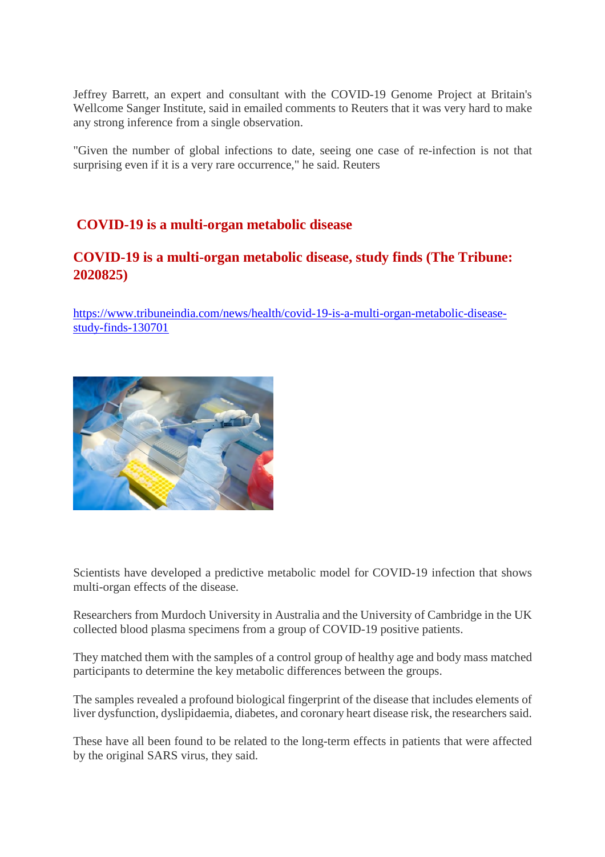Jeffrey Barrett, an expert and consultant with the COVID-19 Genome Project at Britain's Wellcome Sanger Institute, said in emailed comments to Reuters that it was very hard to make any strong inference from a single observation.

"Given the number of global infections to date, seeing one case of re-infection is not that surprising even if it is a very rare occurrence," he said. Reuters

## **COVID-19 is a multi-organ metabolic disease**

## **COVID-19 is a multi-organ metabolic disease, study finds (The Tribune: 2020825)**

https://www.tribuneindia.com/news/health/covid-19-is-a-multi-organ-metabolic-diseasestudy-finds-130701



Scientists have developed a predictive metabolic model for COVID-19 infection that shows multi-organ effects of the disease.

Researchers from Murdoch University in Australia and the University of Cambridge in the UK collected blood plasma specimens from a group of COVID-19 positive patients.

They matched them with the samples of a control group of healthy age and body mass matched participants to determine the key metabolic differences between the groups.

The samples revealed a profound biological fingerprint of the disease that includes elements of liver dysfunction, dyslipidaemia, diabetes, and coronary heart disease risk, the researchers said.

These have all been found to be related to the long-term effects in patients that were affected by the original SARS virus, they said.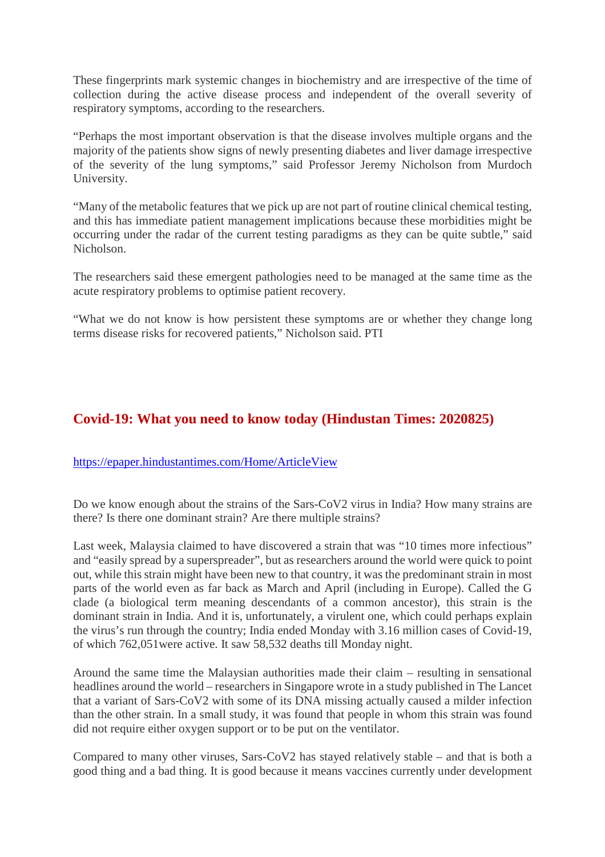These fingerprints mark systemic changes in biochemistry and are irrespective of the time of collection during the active disease process and independent of the overall severity of respiratory symptoms, according to the researchers.

"Perhaps the most important observation is that the disease involves multiple organs and the majority of the patients show signs of newly presenting diabetes and liver damage irrespective of the severity of the lung symptoms," said Professor Jeremy Nicholson from Murdoch University.

"Many of the metabolic features that we pick up are not part of routine clinical chemical testing, and this has immediate patient management implications because these morbidities might be occurring under the radar of the current testing paradigms as they can be quite subtle," said Nicholson.

The researchers said these emergent pathologies need to be managed at the same time as the acute respiratory problems to optimise patient recovery.

"What we do not know is how persistent these symptoms are or whether they change long terms disease risks for recovered patients," Nicholson said. PTI

## **Covid-19: What you need to know today (Hindustan Times: 2020825)**

#### https://epaper.hindustantimes.com/Home/ArticleView

Do we know enough about the strains of the Sars-CoV2 virus in India? How many strains are there? Is there one dominant strain? Are there multiple strains?

Last week, Malaysia claimed to have discovered a strain that was "10 times more infectious" and "easily spread by a superspreader", but as researchers around the world were quick to point out, while this strain might have been new to that country, it was the predominant strain in most parts of the world even as far back as March and April (including in Europe). Called the G clade (a biological term meaning descendants of a common ancestor), this strain is the dominant strain in India. And it is, unfortunately, a virulent one, which could perhaps explain the virus's run through the country; India ended Monday with 3.16 million cases of Covid-19, of which 762,051were active. It saw 58,532 deaths till Monday night.

Around the same time the Malaysian authorities made their claim – resulting in sensational headlines around the world – researchers in Singapore wrote in a study published in The Lancet that a variant of Sars-CoV2 with some of its DNA missing actually caused a milder infection than the other strain. In a small study, it was found that people in whom this strain was found did not require either oxygen support or to be put on the ventilator.

Compared to many other viruses, Sars-CoV2 has stayed relatively stable – and that is both a good thing and a bad thing. It is good because it means vaccines currently under development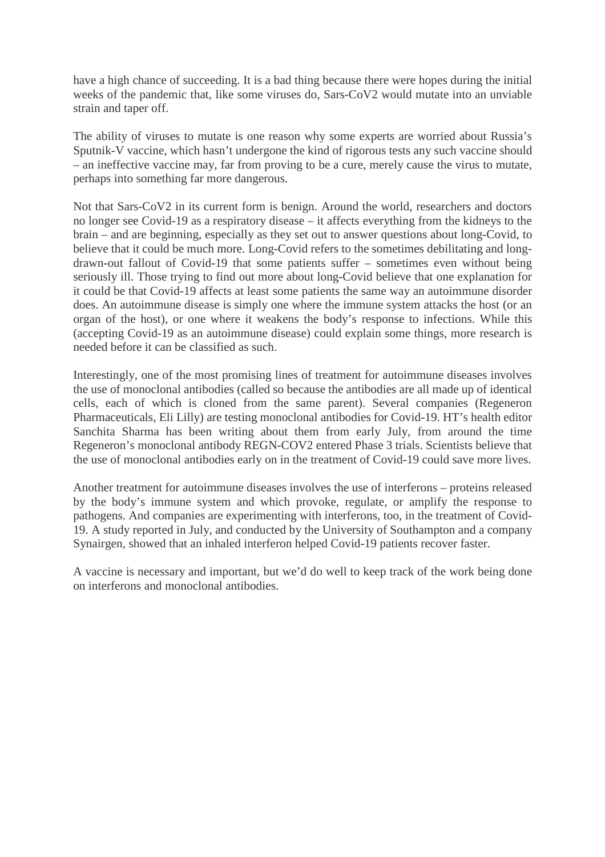have a high chance of succeeding. It is a bad thing because there were hopes during the initial weeks of the pandemic that, like some viruses do, Sars-CoV2 would mutate into an unviable strain and taper off.

The ability of viruses to mutate is one reason why some experts are worried about Russia's Sputnik-V vaccine, which hasn't undergone the kind of rigorous tests any such vaccine should – an ineffective vaccine may, far from proving to be a cure, merely cause the virus to mutate, perhaps into something far more dangerous.

Not that Sars-CoV2 in its current form is benign. Around the world, researchers and doctors no longer see Covid-19 as a respiratory disease – it affects everything from the kidneys to the brain – and are beginning, especially as they set out to answer questions about long-Covid, to believe that it could be much more. Long-Covid refers to the sometimes debilitating and longdrawn-out fallout of Covid-19 that some patients suffer – sometimes even without being seriously ill. Those trying to find out more about long-Covid believe that one explanation for it could be that Covid-19 affects at least some patients the same way an autoimmune disorder does. An autoimmune disease is simply one where the immune system attacks the host (or an organ of the host), or one where it weakens the body's response to infections. While this (accepting Covid-19 as an autoimmune disease) could explain some things, more research is needed before it can be classified as such.

Interestingly, one of the most promising lines of treatment for autoimmune diseases involves the use of monoclonal antibodies (called so because the antibodies are all made up of identical cells, each of which is cloned from the same parent). Several companies (Regeneron Pharmaceuticals, Eli Lilly) are testing monoclonal antibodies for Covid-19. HT's health editor Sanchita Sharma has been writing about them from early July, from around the time Regeneron's monoclonal antibody REGN-COV2 entered Phase 3 trials. Scientists believe that the use of monoclonal antibodies early on in the treatment of Covid-19 could save more lives.

Another treatment for autoimmune diseases involves the use of interferons – proteins released by the body's immune system and which provoke, regulate, or amplify the response to pathogens. And companies are experimenting with interferons, too, in the treatment of Covid-19. A study reported in July, and conducted by the University of Southampton and a company Synairgen, showed that an inhaled interferon helped Covid-19 patients recover faster.

A vaccine is necessary and important, but we'd do well to keep track of the work being done on interferons and monoclonal antibodies.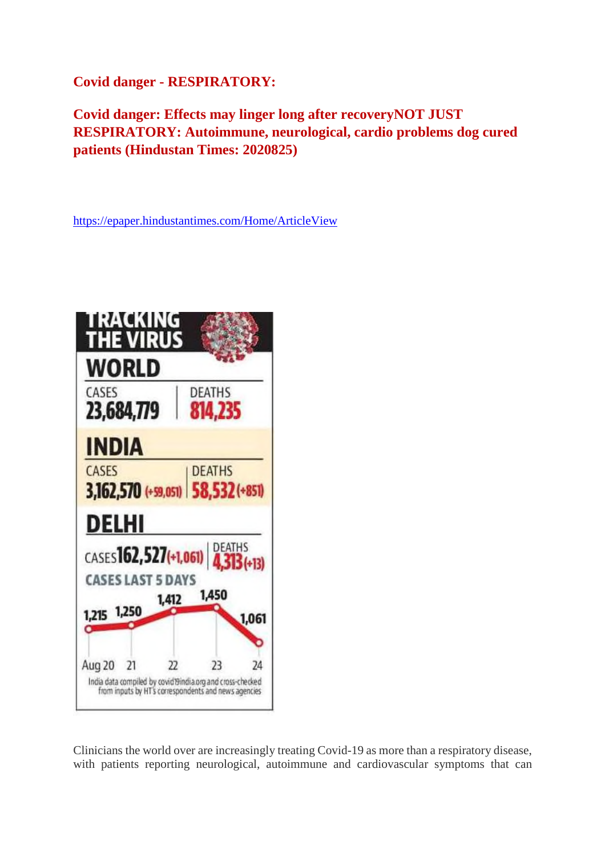**Covid danger - RESPIRATORY:**

**Covid danger: Effects may linger long after recoveryNOT JUST RESPIRATORY: Autoimmune, neurological, cardio problems dog cured patients (Hindustan Times: 2020825)**

https://epaper.hindustantimes.com/Home/ArticleView



Clinicians the world over are increasingly treating Covid-19 as more than a respiratory disease, with patients reporting neurological, autoimmune and cardiovascular symptoms that can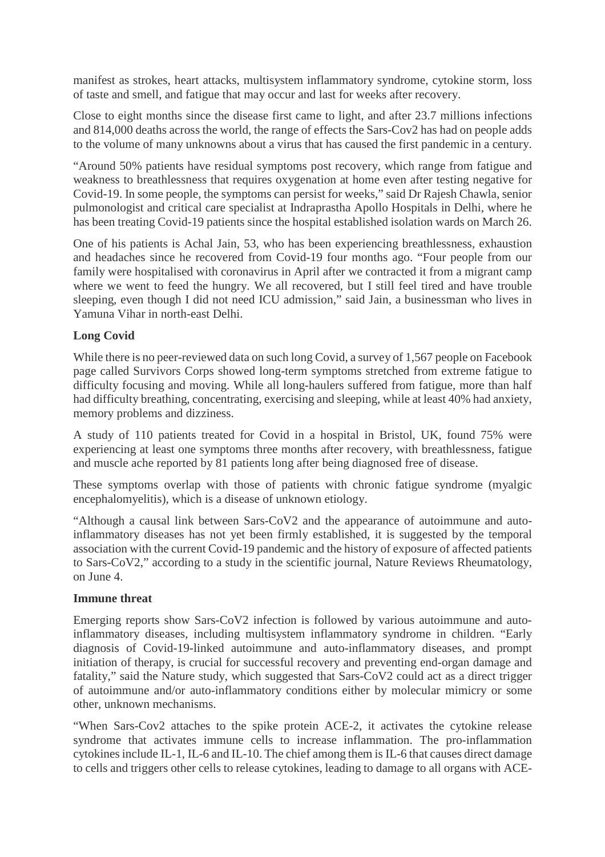manifest as strokes, heart attacks, multisystem inflammatory syndrome, cytokine storm, loss of taste and smell, and fatigue that may occur and last for weeks after recovery.

Close to eight months since the disease first came to light, and after 23.7 millions infections and 814,000 deaths across the world, the range of effects the Sars-Cov2 has had on people adds to the volume of many unknowns about a virus that has caused the first pandemic in a century.

"Around 50% patients have residual symptoms post recovery, which range from fatigue and weakness to breathlessness that requires oxygenation at home even after testing negative for Covid-19. In some people, the symptoms can persist for weeks," said Dr Rajesh Chawla, senior pulmonologist and critical care specialist at Indraprastha Apollo Hospitals in Delhi, where he has been treating Covid-19 patients since the hospital established isolation wards on March 26.

One of his patients is Achal Jain, 53, who has been experiencing breathlessness, exhaustion and headaches since he recovered from Covid-19 four months ago. "Four people from our family were hospitalised with coronavirus in April after we contracted it from a migrant camp where we went to feed the hungry. We all recovered, but I still feel tired and have trouble sleeping, even though I did not need ICU admission," said Jain, a businessman who lives in Yamuna Vihar in north-east Delhi.

#### **Long Covid**

While there is no peer-reviewed data on such long Covid, a survey of 1,567 people on Facebook page called Survivors Corps showed long-term symptoms stretched from extreme fatigue to difficulty focusing and moving. While all long-haulers suffered from fatigue, more than half had difficulty breathing, concentrating, exercising and sleeping, while at least 40% had anxiety, memory problems and dizziness.

A study of 110 patients treated for Covid in a hospital in Bristol, UK, found 75% were experiencing at least one symptoms three months after recovery, with breathlessness, fatigue and muscle ache reported by 81 patients long after being diagnosed free of disease.

These symptoms overlap with those of patients with chronic fatigue syndrome (myalgic encephalomyelitis), which is a disease of unknown etiology.

"Although a causal link between Sars-CoV2 and the appearance of autoimmune and autoinflammatory diseases has not yet been firmly established, it is suggested by the temporal association with the current Covid-19 pandemic and the history of exposure of affected patients to Sars-CoV2," according to a study in the scientific journal, Nature Reviews Rheumatology, on June 4.

#### **Immune threat**

Emerging reports show Sars-CoV2 infection is followed by various autoimmune and autoinflammatory diseases, including multisystem inflammatory syndrome in children. "Early diagnosis of Covid-19-linked autoimmune and auto-inflammatory diseases, and prompt initiation of therapy, is crucial for successful recovery and preventing end-organ damage and fatality," said the Nature study, which suggested that Sars-CoV2 could act as a direct trigger of autoimmune and/or auto-inflammatory conditions either by molecular mimicry or some other, unknown mechanisms.

"When Sars-Cov2 attaches to the spike protein ACE-2, it activates the cytokine release syndrome that activates immune cells to increase inflammation. The pro-inflammation cytokines include IL-1, IL-6 and IL-10. The chief among them is IL-6 that causes direct damage to cells and triggers other cells to release cytokines, leading to damage to all organs with ACE-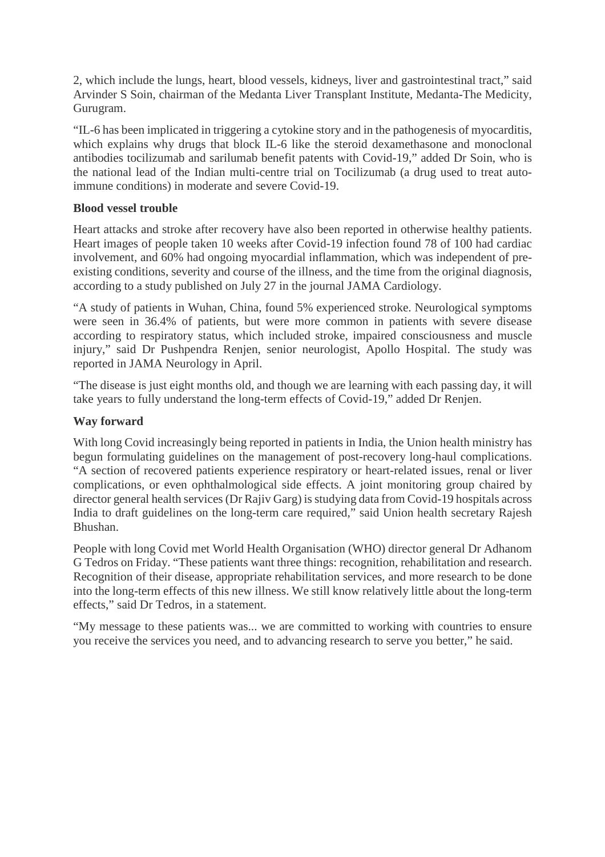2, which include the lungs, heart, blood vessels, kidneys, liver and gastrointestinal tract," said Arvinder S Soin, chairman of the Medanta Liver Transplant Institute, Medanta-The Medicity, Gurugram.

"IL-6 has been implicated in triggering a cytokine story and in the pathogenesis of myocarditis, which explains why drugs that block IL-6 like the steroid dexamethasone and monoclonal antibodies tocilizumab and sarilumab benefit patents with Covid-19," added Dr Soin, who is the national lead of the Indian multi-centre trial on Tocilizumab (a drug used to treat autoimmune conditions) in moderate and severe Covid-19.

#### **Blood vessel trouble**

Heart attacks and stroke after recovery have also been reported in otherwise healthy patients. Heart images of people taken 10 weeks after Covid-19 infection found 78 of 100 had cardiac involvement, and 60% had ongoing myocardial inflammation, which was independent of preexisting conditions, severity and course of the illness, and the time from the original diagnosis, according to a study published on July 27 in the journal JAMA Cardiology.

"A study of patients in Wuhan, China, found 5% experienced stroke. Neurological symptoms were seen in 36.4% of patients, but were more common in patients with severe disease according to respiratory status, which included stroke, impaired consciousness and muscle injury," said Dr Pushpendra Renjen, senior neurologist, Apollo Hospital. The study was reported in JAMA Neurology in April.

"The disease is just eight months old, and though we are learning with each passing day, it will take years to fully understand the long-term effects of Covid-19," added Dr Renjen.

#### **Way forward**

With long Covid increasingly being reported in patients in India, the Union health ministry has begun formulating guidelines on the management of post-recovery long-haul complications. "A section of recovered patients experience respiratory or heart-related issues, renal or liver complications, or even ophthalmological side effects. A joint monitoring group chaired by director general health services (Dr Rajiv Garg) is studying data from Covid-19 hospitals across India to draft guidelines on the long-term care required," said Union health secretary Rajesh Bhushan.

People with long Covid met World Health Organisation (WHO) director general Dr Adhanom G Tedros on Friday. "These patients want three things: recognition, rehabilitation and research. Recognition of their disease, appropriate rehabilitation services, and more research to be done into the long-term effects of this new illness. We still know relatively little about the long-term effects," said Dr Tedros, in a statement.

"My message to these patients was... we are committed to working with countries to ensure you receive the services you need, and to advancing research to serve you better," he said.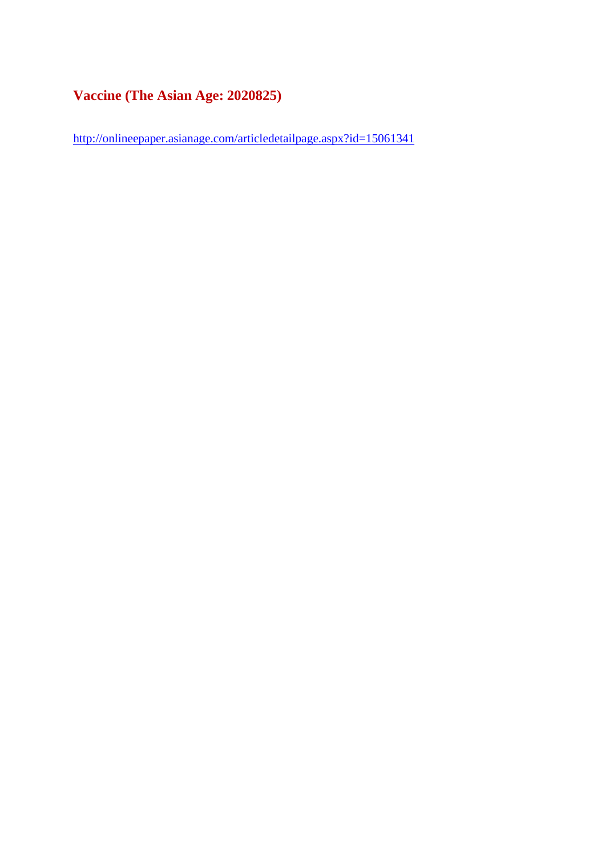## **Vaccine (The Asian Age: 2020825)**

http://onlineepaper.asianage.com/articledetailpage.aspx?id=15061341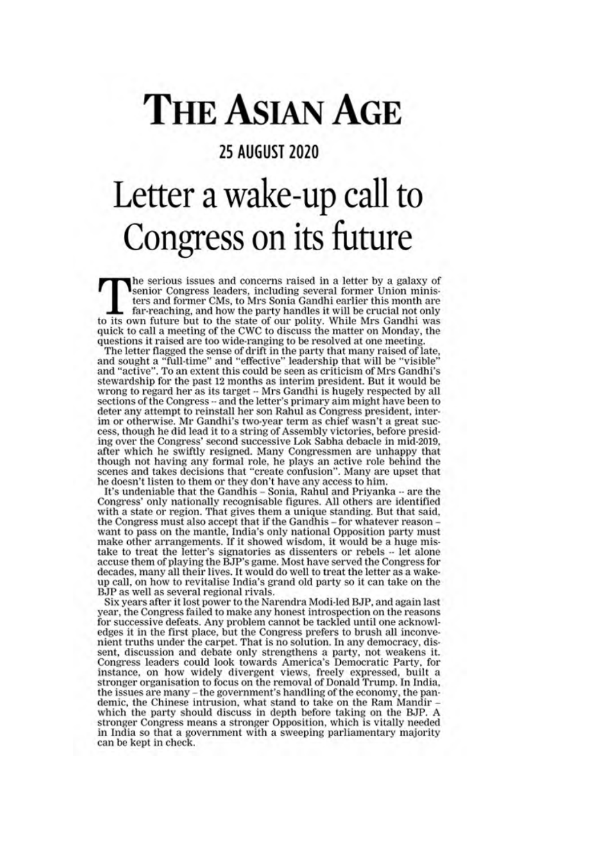# **THE ASIAN AGE**

## **25 AUGUST 2020**

# Letter a wake-up call to Congress on its future

the serious issues and concerns raised in a letter by a galaxy of senior Congress leaders, including several former Union ministers and former CMs, to Mrs Sonia Gandhi earlier this month are far-reaching, and how the party handles it will be crucial not only to its own future but to the state of our polity. While Mrs Gandhi was quick to call a meeting of the CWC to discuss the matter on Monday, the questions it raised are too wide-ranging to be resolved at one meeting.

The letter flagged the sense of drift in the party that many raised of late, and sought a "full-time" and "effective" leadership that will be "visible" and "active". To an extent this could be seen as criticism of Mrs Gandhi's stewardship for the past 12 months as interim president. But it would be wrong to regard her as its target -- Mrs Gandhi is hugely respected by all sections of the Congress -- and the letter's primary aim might have been to deter any attempt to reinstall her son Rahul as Congress president, interim or otherwise. Mr Gandhi's two-year term as chief wasn't a great success, though he did lead it to a string of Assembly victories, before presiding over the Congress' second successive Lok Sabha debacle in mid-2019, after which he swiftly resigned. Many Congressmen are unhappy that though not having any formal role, he plays an active role behind the scenes and takes decisions that "create confusion". Many are upset that he doesn't listen to them or they don't have any access to him.

It's undeniable that the Gandhis - Sonia, Rahul and Priyanka -- are the Congress' only nationally recognisable figures. All others are identified with a state or region. That gives them a unique standing. But that said, the Congress must also accept that if the Gandhis – for whatever reason want to pass on the mantle, India's only national Opposition party must make other arrangements. If it showed wisdom, it would be a huge mistake to treat the letter's signatories as dissenters or rebels -- let alone accuse them of playing the BJP's game. Most have served the Congress for decades, many all their lives. It would do well to treat the letter as a wakeup call, on how to revitalise India's grand old party so it can take on the BJP as well as several regional rivals.

Six years after it lost power to the Narendra Modi-led BJP, and again last year, the Congress failed to make any honest introspection on the reasons for successive defeats. Any problem cannot be tackled until one acknowledges it in the first place, but the Congress prefers to brush all inconvenient truths under the carpet. That is no solution. In any democracy, dissent, discussion and debate only strengthens a party, not weakens it. Congress leaders could look towards America's Democratic Party, for<br>instance, on how widely divergent views, freely expressed, built a stronger organisation to focus on the removal of Donald Trump. In India, the issues are many – the government's handling of the economy, the pandemic, the Chinese intrusion, what stand to take on the Ram Mandir which the party should discuss in depth before taking on the BJP. A stronger Congress means a stronger Opposition, which is vitally needed in India so that a government with a sweeping parliamentary majority can be kept in check.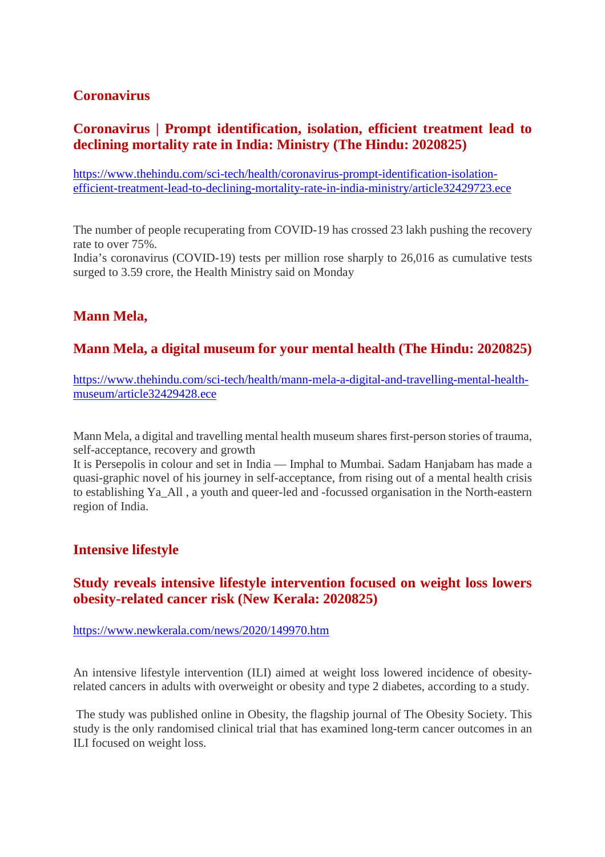## **Coronavirus**

## **Coronavirus | Prompt identification, isolation, efficient treatment lead to declining mortality rate in India: Ministry (The Hindu: 2020825)**

https://www.thehindu.com/sci-tech/health/coronavirus-prompt-identification-isolationefficient-treatment-lead-to-declining-mortality-rate-in-india-ministry/article32429723.ece

The number of people recuperating from COVID-19 has crossed 23 lakh pushing the recovery rate to over 75%. India's coronavirus (COVID-19) tests per million rose sharply to 26,016 as cumulative tests surged to 3.59 crore, the Health Ministry said on Monday

## **Mann Mela,**

## **Mann Mela, a digital museum for your mental health (The Hindu: 2020825)**

https://www.thehindu.com/sci-tech/health/mann-mela-a-digital-and-travelling-mental-healthmuseum/article32429428.ece

Mann Mela, a digital and travelling mental health museum shares first-person stories of trauma, self-acceptance, recovery and growth

It is Persepolis in colour and set in India — Imphal to Mumbai. Sadam Hanjabam has made a quasi-graphic novel of his journey in self-acceptance, from rising out of a mental health crisis to establishing Ya\_All , a youth and queer-led and -focussed organisation in the North-eastern region of India.

## **Intensive lifestyle**

## **Study reveals intensive lifestyle intervention focused on weight loss lowers obesity-related cancer risk (New Kerala: 2020825)**

https://www.newkerala.com/news/2020/149970.htm

An intensive lifestyle intervention (ILI) aimed at weight loss lowered incidence of obesityrelated cancers in adults with overweight or obesity and type 2 diabetes, according to a study.

The study was published online in Obesity, the flagship journal of The Obesity Society. This study is the only randomised clinical trial that has examined long-term cancer outcomes in an ILI focused on weight loss.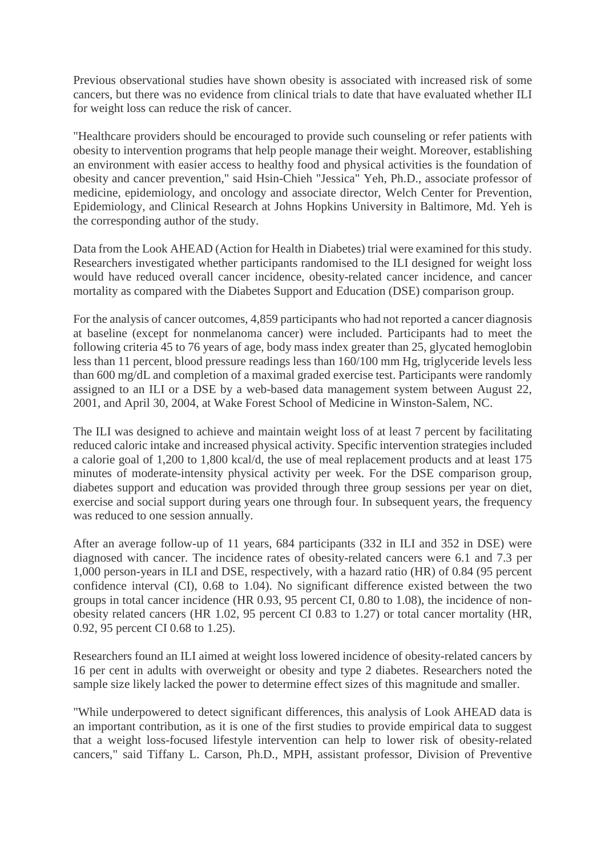Previous observational studies have shown obesity is associated with increased risk of some cancers, but there was no evidence from clinical trials to date that have evaluated whether ILI for weight loss can reduce the risk of cancer.

"Healthcare providers should be encouraged to provide such counseling or refer patients with obesity to intervention programs that help people manage their weight. Moreover, establishing an environment with easier access to healthy food and physical activities is the foundation of obesity and cancer prevention," said Hsin-Chieh "Jessica" Yeh, Ph.D., associate professor of medicine, epidemiology, and oncology and associate director, Welch Center for Prevention, Epidemiology, and Clinical Research at Johns Hopkins University in Baltimore, Md. Yeh is the corresponding author of the study.

Data from the Look AHEAD (Action for Health in Diabetes) trial were examined for this study. Researchers investigated whether participants randomised to the ILI designed for weight loss would have reduced overall cancer incidence, obesity-related cancer incidence, and cancer mortality as compared with the Diabetes Support and Education (DSE) comparison group.

For the analysis of cancer outcomes, 4,859 participants who had not reported a cancer diagnosis at baseline (except for nonmelanoma cancer) were included. Participants had to meet the following criteria 45 to 76 years of age, body mass index greater than 25, glycated hemoglobin less than 11 percent, blood pressure readings less than 160/100 mm Hg, triglyceride levels less than 600 mg/dL and completion of a maximal graded exercise test. Participants were randomly assigned to an ILI or a DSE by a web-based data management system between August 22, 2001, and April 30, 2004, at Wake Forest School of Medicine in Winston-Salem, NC.

The ILI was designed to achieve and maintain weight loss of at least 7 percent by facilitating reduced caloric intake and increased physical activity. Specific intervention strategies included a calorie goal of 1,200 to 1,800 kcal/d, the use of meal replacement products and at least 175 minutes of moderate-intensity physical activity per week. For the DSE comparison group, diabetes support and education was provided through three group sessions per year on diet, exercise and social support during years one through four. In subsequent years, the frequency was reduced to one session annually.

After an average follow-up of 11 years, 684 participants (332 in ILI and 352 in DSE) were diagnosed with cancer. The incidence rates of obesity-related cancers were 6.1 and 7.3 per 1,000 person-years in ILI and DSE, respectively, with a hazard ratio (HR) of 0.84 (95 percent confidence interval (CI), 0.68 to 1.04). No significant difference existed between the two groups in total cancer incidence (HR 0.93, 95 percent CI, 0.80 to 1.08), the incidence of nonobesity related cancers (HR 1.02, 95 percent CI 0.83 to 1.27) or total cancer mortality (HR, 0.92, 95 percent CI 0.68 to 1.25).

Researchers found an ILI aimed at weight loss lowered incidence of obesity-related cancers by 16 per cent in adults with overweight or obesity and type 2 diabetes. Researchers noted the sample size likely lacked the power to determine effect sizes of this magnitude and smaller.

"While underpowered to detect significant differences, this analysis of Look AHEAD data is an important contribution, as it is one of the first studies to provide empirical data to suggest that a weight loss-focused lifestyle intervention can help to lower risk of obesity-related cancers," said Tiffany L. Carson, Ph.D., MPH, assistant professor, Division of Preventive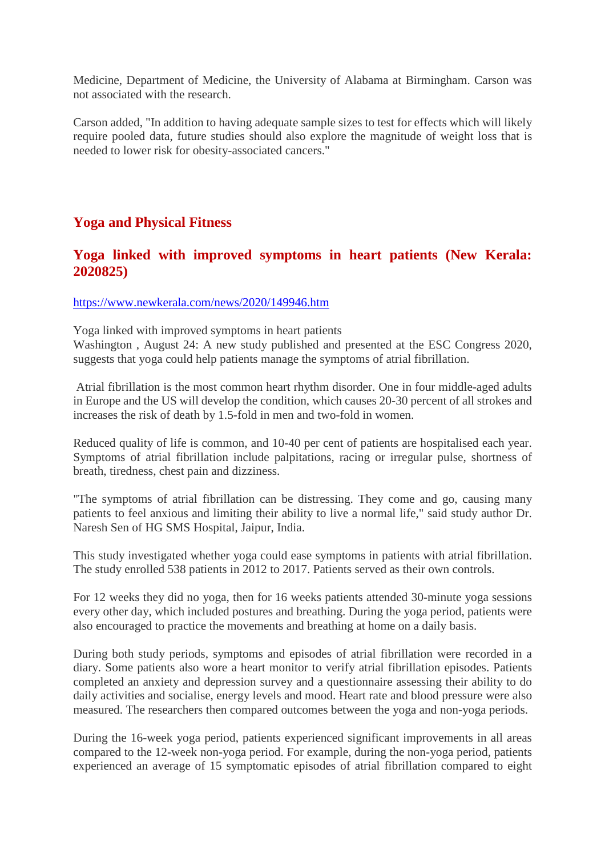Medicine, Department of Medicine, the University of Alabama at Birmingham. Carson was not associated with the research.

Carson added, "In addition to having adequate sample sizes to test for effects which will likely require pooled data, future studies should also explore the magnitude of weight loss that is needed to lower risk for obesity-associated cancers."

## **Yoga and Physical Fitness**

## **Yoga linked with improved symptoms in heart patients (New Kerala: 2020825)**

#### https://www.newkerala.com/news/2020/149946.htm

Yoga linked with improved symptoms in heart patients

Washington , August 24: A new study published and presented at the ESC Congress 2020, suggests that yoga could help patients manage the symptoms of atrial fibrillation.

Atrial fibrillation is the most common heart rhythm disorder. One in four middle-aged adults in Europe and the US will develop the condition, which causes 20-30 percent of all strokes and increases the risk of death by 1.5-fold in men and two-fold in women.

Reduced quality of life is common, and 10-40 per cent of patients are hospitalised each year. Symptoms of atrial fibrillation include palpitations, racing or irregular pulse, shortness of breath, tiredness, chest pain and dizziness.

"The symptoms of atrial fibrillation can be distressing. They come and go, causing many patients to feel anxious and limiting their ability to live a normal life," said study author Dr. Naresh Sen of HG SMS Hospital, Jaipur, India.

This study investigated whether yoga could ease symptoms in patients with atrial fibrillation. The study enrolled 538 patients in 2012 to 2017. Patients served as their own controls.

For 12 weeks they did no yoga, then for 16 weeks patients attended 30-minute yoga sessions every other day, which included postures and breathing. During the yoga period, patients were also encouraged to practice the movements and breathing at home on a daily basis.

During both study periods, symptoms and episodes of atrial fibrillation were recorded in a diary. Some patients also wore a heart monitor to verify atrial fibrillation episodes. Patients completed an anxiety and depression survey and a questionnaire assessing their ability to do daily activities and socialise, energy levels and mood. Heart rate and blood pressure were also measured. The researchers then compared outcomes between the yoga and non-yoga periods.

During the 16-week yoga period, patients experienced significant improvements in all areas compared to the 12-week non-yoga period. For example, during the non-yoga period, patients experienced an average of 15 symptomatic episodes of atrial fibrillation compared to eight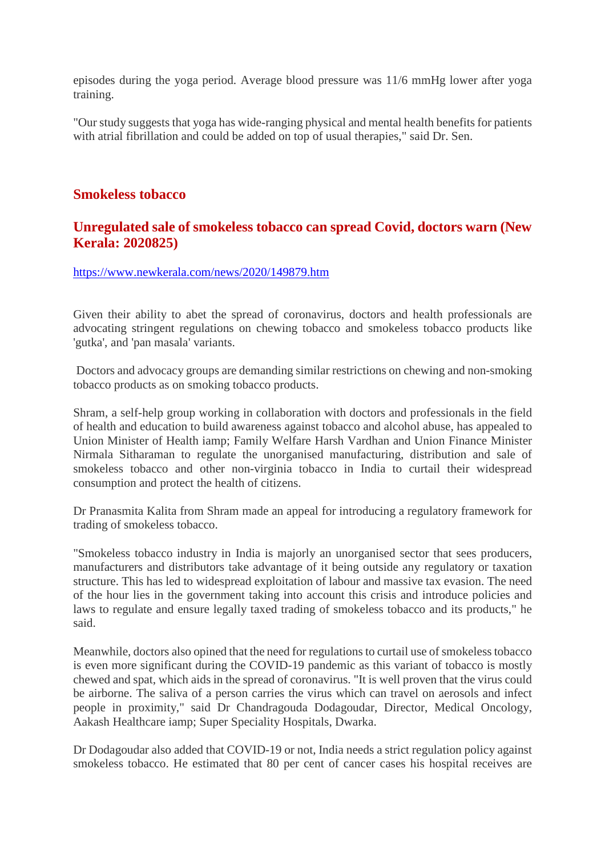episodes during the yoga period. Average blood pressure was 11/6 mmHg lower after yoga training.

"Our study suggests that yoga has wide-ranging physical and mental health benefits for patients with atrial fibrillation and could be added on top of usual therapies," said Dr. Sen.

## **Smokeless tobacco**

## **Unregulated sale of smokeless tobacco can spread Covid, doctors warn (New Kerala: 2020825)**

https://www.newkerala.com/news/2020/149879.htm

Given their ability to abet the spread of coronavirus, doctors and health professionals are advocating stringent regulations on chewing tobacco and smokeless tobacco products like 'gutka', and 'pan masala' variants.

Doctors and advocacy groups are demanding similar restrictions on chewing and non-smoking tobacco products as on smoking tobacco products.

Shram, a self-help group working in collaboration with doctors and professionals in the field of health and education to build awareness against tobacco and alcohol abuse, has appealed to Union Minister of Health iamp; Family Welfare Harsh Vardhan and Union Finance Minister Nirmala Sitharaman to regulate the unorganised manufacturing, distribution and sale of smokeless tobacco and other non-virginia tobacco in India to curtail their widespread consumption and protect the health of citizens.

Dr Pranasmita Kalita from Shram made an appeal for introducing a regulatory framework for trading of smokeless tobacco.

"Smokeless tobacco industry in India is majorly an unorganised sector that sees producers, manufacturers and distributors take advantage of it being outside any regulatory or taxation structure. This has led to widespread exploitation of labour and massive tax evasion. The need of the hour lies in the government taking into account this crisis and introduce policies and laws to regulate and ensure legally taxed trading of smokeless tobacco and its products," he said.

Meanwhile, doctors also opined that the need for regulations to curtail use of smokeless tobacco is even more significant during the COVID-19 pandemic as this variant of tobacco is mostly chewed and spat, which aids in the spread of coronavirus. "It is well proven that the virus could be airborne. The saliva of a person carries the virus which can travel on aerosols and infect people in proximity," said Dr Chandragouda Dodagoudar, Director, Medical Oncology, Aakash Healthcare iamp; Super Speciality Hospitals, Dwarka.

Dr Dodagoudar also added that COVID-19 or not, India needs a strict regulation policy against smokeless tobacco. He estimated that 80 per cent of cancer cases his hospital receives are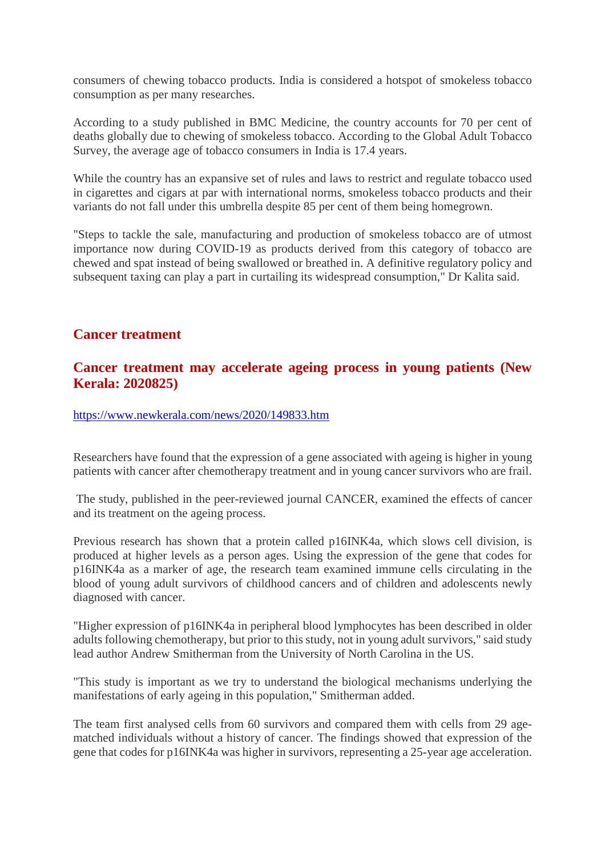consumers of chewing tobacco products. India is considered a hotspot of smokeless tobacco consumption as per many researches.

According to a study published in BMC Medicine, the country accounts for 70 per cent of deaths globally due to chewing of smokeless tobacco. According to the Global Adult Tobacco Survey, the average age of tobacco consumers in India is 17.4 years.

While the country has an expansive set of rules and laws to restrict and regulate tobacco used in cigarettes and cigars at par with international norms, smokeless tobacco products and their variants do not fall under this umbrella despite 85 per cent of them being homegrown.

"Steps to tackle the sale, manufacturing and production of smokeless tobacco are of utmost importance now during COVID-19 as products derived from this category of tobacco are chewed and spat instead of being swallowed or breathed in. A definitive regulatory policy and subsequent taxing can play a part in curtailing its widespread consumption," Dr Kalita said.

## **Cancer treatment**

## **Cancer treatment may accelerate ageing process in young patients (New Kerala: 2020825)**

https://www.newkerala.com/news/2020/149833.htm

Researchers have found that the expression of a gene associated with ageing is higher in young patients with cancer after chemotherapy treatment and in young cancer survivors who are frail.

The study, published in the peer-reviewed journal CANCER, examined the effects of cancer and its treatment on the ageing process.

Previous research has shown that a protein called p16INK4a, which slows cell division, is produced at higher levels as a person ages. Using the expression of the gene that codes for p16INK4a as a marker of age, the research team examined immune cells circulating in the blood of young adult survivors of childhood cancers and of children and adolescents newly diagnosed with cancer.

"Higher expression of p16INK4a in peripheral blood lymphocytes has been described in older adults following chemotherapy, but prior to this study, not in young adult survivors," said study lead author Andrew Smitherman from the University of North Carolina in the US.

"This study is important as we try to understand the biological mechanisms underlying the manifestations of early ageing in this population," Smitherman added.

The team first analysed cells from 60 survivors and compared them with cells from 29 agematched individuals without a history of cancer. The findings showed that expression of the gene that codes for p16INK4a was higher in survivors, representing a 25-year age acceleration.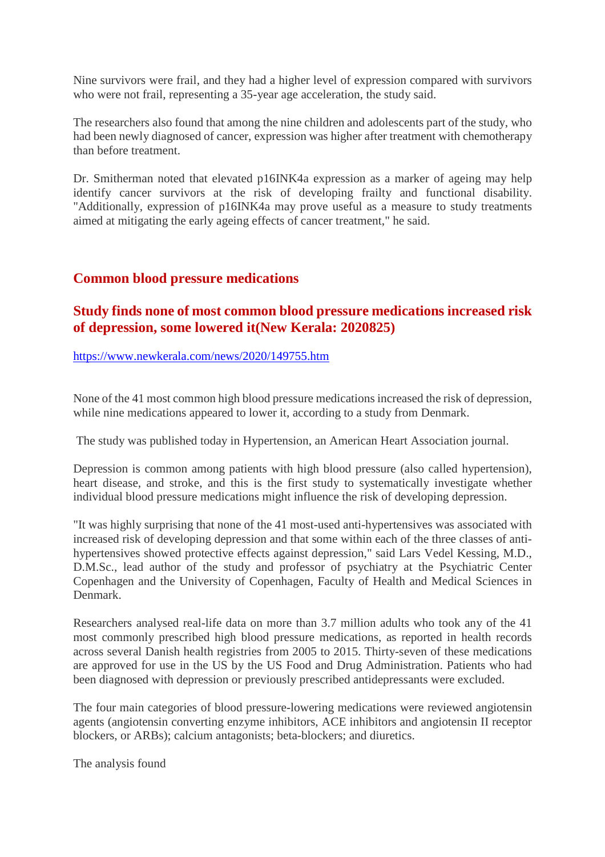Nine survivors were frail, and they had a higher level of expression compared with survivors who were not frail, representing a 35-year age acceleration, the study said.

The researchers also found that among the nine children and adolescents part of the study, who had been newly diagnosed of cancer, expression was higher after treatment with chemotherapy than before treatment.

Dr. Smitherman noted that elevated p16INK4a expression as a marker of ageing may help identify cancer survivors at the risk of developing frailty and functional disability. "Additionally, expression of p16INK4a may prove useful as a measure to study treatments aimed at mitigating the early ageing effects of cancer treatment," he said.

## **Common blood pressure medications**

## **Study finds none of most common blood pressure medications increased risk of depression, some lowered it(New Kerala: 2020825)**

#### https://www.newkerala.com/news/2020/149755.htm

None of the 41 most common high blood pressure medications increased the risk of depression, while nine medications appeared to lower it, according to a study from Denmark.

The study was published today in Hypertension, an American Heart Association journal.

Depression is common among patients with high blood pressure (also called hypertension), heart disease, and stroke, and this is the first study to systematically investigate whether individual blood pressure medications might influence the risk of developing depression.

"It was highly surprising that none of the 41 most-used anti-hypertensives was associated with increased risk of developing depression and that some within each of the three classes of antihypertensives showed protective effects against depression," said Lars Vedel Kessing, M.D., D.M.Sc., lead author of the study and professor of psychiatry at the Psychiatric Center Copenhagen and the University of Copenhagen, Faculty of Health and Medical Sciences in Denmark.

Researchers analysed real-life data on more than 3.7 million adults who took any of the 41 most commonly prescribed high blood pressure medications, as reported in health records across several Danish health registries from 2005 to 2015. Thirty-seven of these medications are approved for use in the US by the US Food and Drug Administration. Patients who had been diagnosed with depression or previously prescribed antidepressants were excluded.

The four main categories of blood pressure-lowering medications were reviewed angiotensin agents (angiotensin converting enzyme inhibitors, ACE inhibitors and angiotensin II receptor blockers, or ARBs); calcium antagonists; beta-blockers; and diuretics.

The analysis found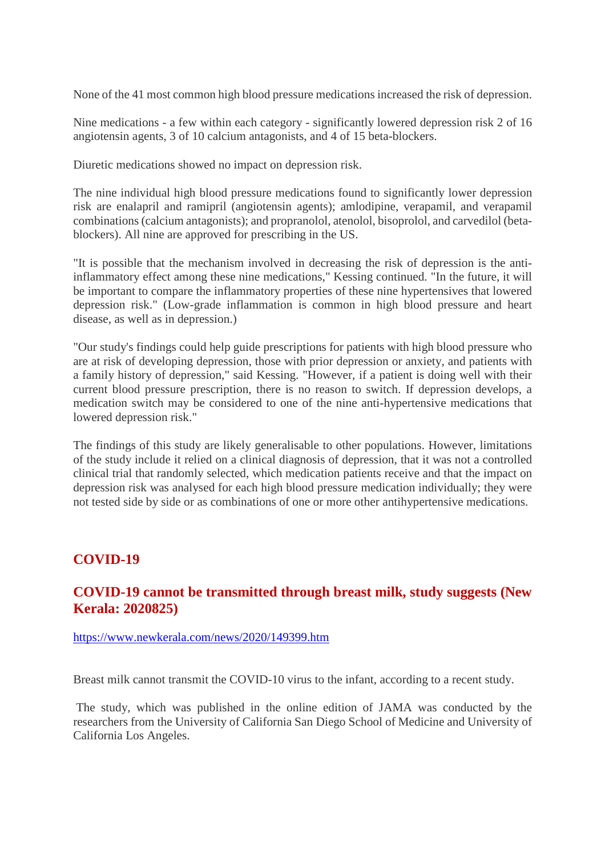None of the 41 most common high blood pressure medications increased the risk of depression.

Nine medications - a few within each category - significantly lowered depression risk 2 of 16 angiotensin agents, 3 of 10 calcium antagonists, and 4 of 15 beta-blockers.

Diuretic medications showed no impact on depression risk.

The nine individual high blood pressure medications found to significantly lower depression risk are enalapril and ramipril (angiotensin agents); amlodipine, verapamil, and verapamil combinations (calcium antagonists); and propranolol, atenolol, bisoprolol, and carvedilol (betablockers). All nine are approved for prescribing in the US.

"It is possible that the mechanism involved in decreasing the risk of depression is the antiinflammatory effect among these nine medications," Kessing continued. "In the future, it will be important to compare the inflammatory properties of these nine hypertensives that lowered depression risk." (Low-grade inflammation is common in high blood pressure and heart disease, as well as in depression.)

"Our study's findings could help guide prescriptions for patients with high blood pressure who are at risk of developing depression, those with prior depression or anxiety, and patients with a family history of depression," said Kessing. "However, if a patient is doing well with their current blood pressure prescription, there is no reason to switch. If depression develops, a medication switch may be considered to one of the nine anti-hypertensive medications that lowered depression risk."

The findings of this study are likely generalisable to other populations. However, limitations of the study include it relied on a clinical diagnosis of depression, that it was not a controlled clinical trial that randomly selected, which medication patients receive and that the impact on depression risk was analysed for each high blood pressure medication individually; they were not tested side by side or as combinations of one or more other antihypertensive medications.

## **COVID-19**

## **COVID-19 cannot be transmitted through breast milk, study suggests (New Kerala: 2020825)**

https://www.newkerala.com/news/2020/149399.htm

Breast milk cannot transmit the COVID-10 virus to the infant, according to a recent study.

The study, which was published in the online edition of JAMA was conducted by the researchers from the University of California San Diego School of Medicine and University of California Los Angeles.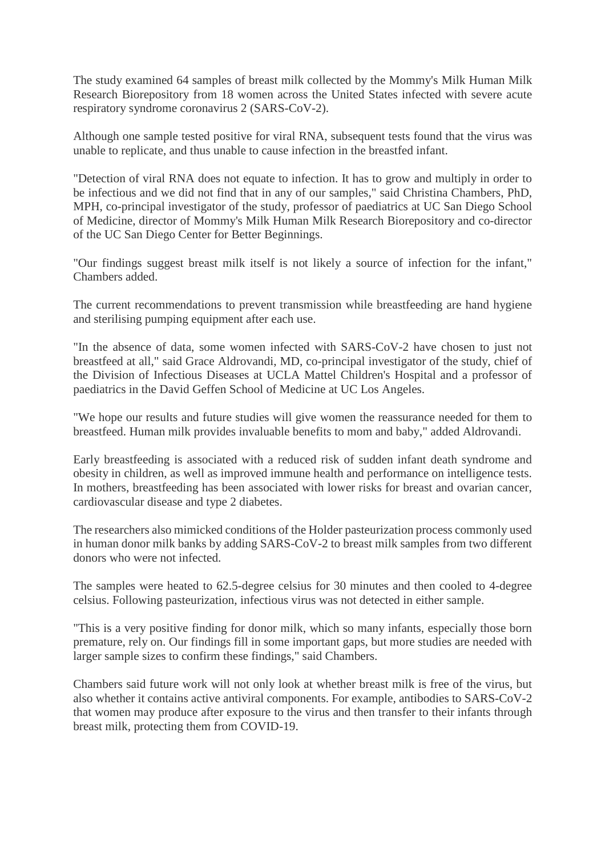The study examined 64 samples of breast milk collected by the Mommy's Milk Human Milk Research Biorepository from 18 women across the United States infected with severe acute respiratory syndrome coronavirus 2 (SARS-CoV-2).

Although one sample tested positive for viral RNA, subsequent tests found that the virus was unable to replicate, and thus unable to cause infection in the breastfed infant.

"Detection of viral RNA does not equate to infection. It has to grow and multiply in order to be infectious and we did not find that in any of our samples," said Christina Chambers, PhD, MPH, co-principal investigator of the study, professor of paediatrics at UC San Diego School of Medicine, director of Mommy's Milk Human Milk Research Biorepository and co-director of the UC San Diego Center for Better Beginnings.

"Our findings suggest breast milk itself is not likely a source of infection for the infant," Chambers added.

The current recommendations to prevent transmission while breastfeeding are hand hygiene and sterilising pumping equipment after each use.

"In the absence of data, some women infected with SARS-CoV-2 have chosen to just not breastfeed at all," said Grace Aldrovandi, MD, co-principal investigator of the study, chief of the Division of Infectious Diseases at UCLA Mattel Children's Hospital and a professor of paediatrics in the David Geffen School of Medicine at UC Los Angeles.

"We hope our results and future studies will give women the reassurance needed for them to breastfeed. Human milk provides invaluable benefits to mom and baby," added Aldrovandi.

Early breastfeeding is associated with a reduced risk of sudden infant death syndrome and obesity in children, as well as improved immune health and performance on intelligence tests. In mothers, breastfeeding has been associated with lower risks for breast and ovarian cancer, cardiovascular disease and type 2 diabetes.

The researchers also mimicked conditions of the Holder pasteurization process commonly used in human donor milk banks by adding SARS-CoV-2 to breast milk samples from two different donors who were not infected.

The samples were heated to 62.5-degree celsius for 30 minutes and then cooled to 4-degree celsius. Following pasteurization, infectious virus was not detected in either sample.

"This is a very positive finding for donor milk, which so many infants, especially those born premature, rely on. Our findings fill in some important gaps, but more studies are needed with larger sample sizes to confirm these findings," said Chambers.

Chambers said future work will not only look at whether breast milk is free of the virus, but also whether it contains active antiviral components. For example, antibodies to SARS-CoV-2 that women may produce after exposure to the virus and then transfer to their infants through breast milk, protecting them from COVID-19.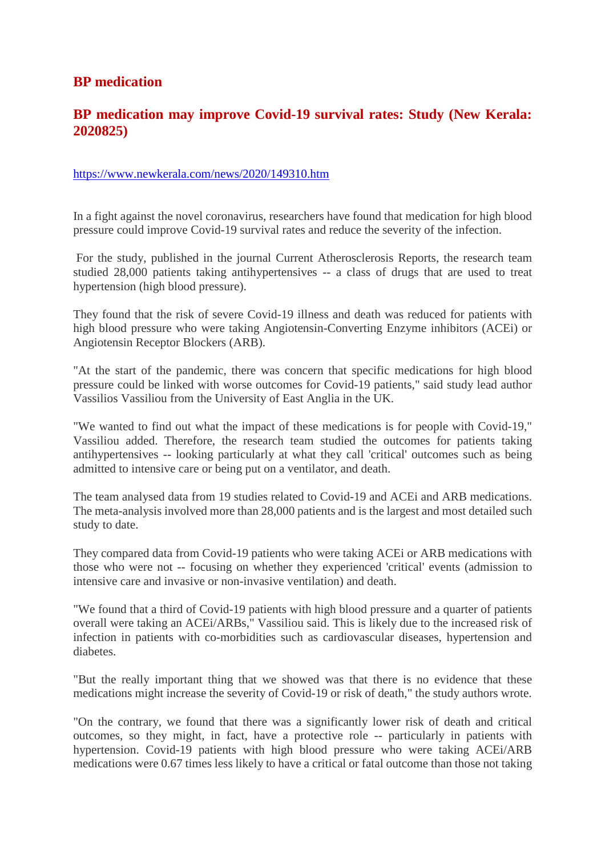## **BP medication**

## **BP medication may improve Covid-19 survival rates: Study (New Kerala: 2020825)**

#### https://www.newkerala.com/news/2020/149310.htm

In a fight against the novel coronavirus, researchers have found that medication for high blood pressure could improve Covid-19 survival rates and reduce the severity of the infection.

For the study, published in the journal Current Atherosclerosis Reports, the research team studied 28,000 patients taking antihypertensives -- a class of drugs that are used to treat hypertension (high blood pressure).

They found that the risk of severe Covid-19 illness and death was reduced for patients with high blood pressure who were taking Angiotensin-Converting Enzyme inhibitors (ACEi) or Angiotensin Receptor Blockers (ARB).

"At the start of the pandemic, there was concern that specific medications for high blood pressure could be linked with worse outcomes for Covid-19 patients," said study lead author Vassilios Vassiliou from the University of East Anglia in the UK.

"We wanted to find out what the impact of these medications is for people with Covid-19," Vassiliou added. Therefore, the research team studied the outcomes for patients taking antihypertensives -- looking particularly at what they call 'critical' outcomes such as being admitted to intensive care or being put on a ventilator, and death.

The team analysed data from 19 studies related to Covid-19 and ACEi and ARB medications. The meta-analysis involved more than 28,000 patients and is the largest and most detailed such study to date.

They compared data from Covid-19 patients who were taking ACEi or ARB medications with those who were not -- focusing on whether they experienced 'critical' events (admission to intensive care and invasive or non-invasive ventilation) and death.

"We found that a third of Covid-19 patients with high blood pressure and a quarter of patients overall were taking an ACEi/ARBs," Vassiliou said. This is likely due to the increased risk of infection in patients with co-morbidities such as cardiovascular diseases, hypertension and diabetes.

"But the really important thing that we showed was that there is no evidence that these medications might increase the severity of Covid-19 or risk of death," the study authors wrote.

"On the contrary, we found that there was a significantly lower risk of death and critical outcomes, so they might, in fact, have a protective role -- particularly in patients with hypertension. Covid-19 patients with high blood pressure who were taking ACEi/ARB medications were 0.67 times less likely to have a critical or fatal outcome than those not taking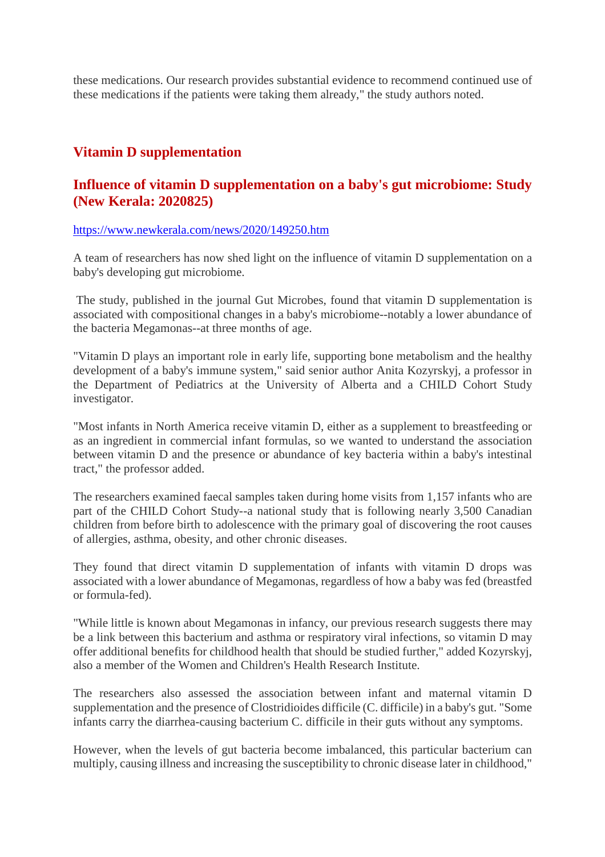these medications. Our research provides substantial evidence to recommend continued use of these medications if the patients were taking them already," the study authors noted.

## **Vitamin D supplementation**

## **Influence of vitamin D supplementation on a baby's gut microbiome: Study (New Kerala: 2020825)**

https://www.newkerala.com/news/2020/149250.htm

A team of researchers has now shed light on the influence of vitamin D supplementation on a baby's developing gut microbiome.

The study, published in the journal Gut Microbes, found that vitamin D supplementation is associated with compositional changes in a baby's microbiome--notably a lower abundance of the bacteria Megamonas--at three months of age.

"Vitamin D plays an important role in early life, supporting bone metabolism and the healthy development of a baby's immune system," said senior author Anita Kozyrskyj, a professor in the Department of Pediatrics at the University of Alberta and a CHILD Cohort Study investigator.

"Most infants in North America receive vitamin D, either as a supplement to breastfeeding or as an ingredient in commercial infant formulas, so we wanted to understand the association between vitamin D and the presence or abundance of key bacteria within a baby's intestinal tract," the professor added.

The researchers examined faecal samples taken during home visits from 1,157 infants who are part of the CHILD Cohort Study--a national study that is following nearly 3,500 Canadian children from before birth to adolescence with the primary goal of discovering the root causes of allergies, asthma, obesity, and other chronic diseases.

They found that direct vitamin D supplementation of infants with vitamin D drops was associated with a lower abundance of Megamonas, regardless of how a baby was fed (breastfed or formula-fed).

"While little is known about Megamonas in infancy, our previous research suggests there may be a link between this bacterium and asthma or respiratory viral infections, so vitamin D may offer additional benefits for childhood health that should be studied further," added Kozyrskyj, also a member of the Women and Children's Health Research Institute.

The researchers also assessed the association between infant and maternal vitamin D supplementation and the presence of Clostridioides difficile (C. difficile) in a baby's gut. "Some infants carry the diarrhea-causing bacterium C. difficile in their guts without any symptoms.

However, when the levels of gut bacteria become imbalanced, this particular bacterium can multiply, causing illness and increasing the susceptibility to chronic disease later in childhood,"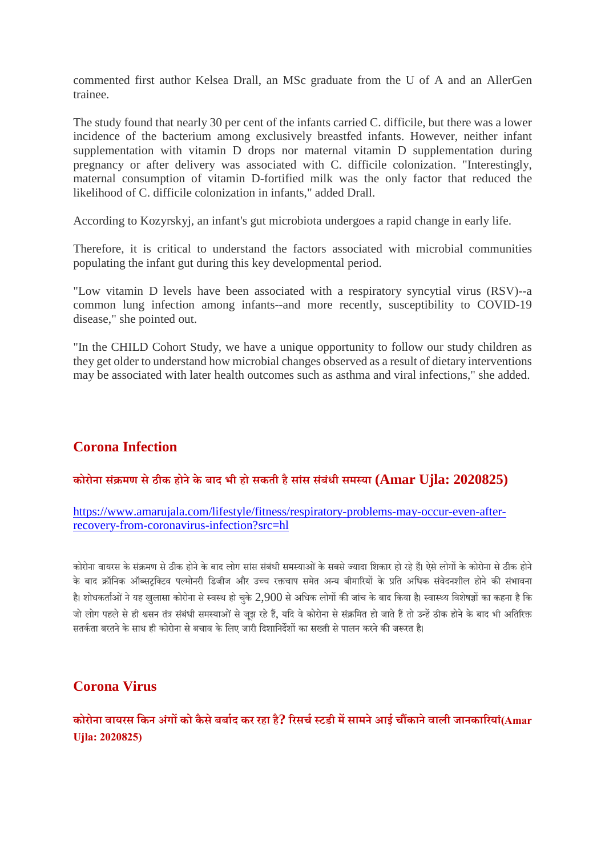commented first author Kelsea Drall, an MSc graduate from the U of A and an AllerGen trainee.

The study found that nearly 30 per cent of the infants carried C. difficile, but there was a lower incidence of the bacterium among exclusively breastfed infants. However, neither infant supplementation with vitamin D drops nor maternal vitamin D supplementation during pregnancy or after delivery was associated with C. difficile colonization. "Interestingly, maternal consumption of vitamin D-fortified milk was the only factor that reduced the likelihood of C. difficile colonization in infants," added Drall.

According to Kozyrskyj, an infant's gut microbiota undergoes a rapid change in early life.

Therefore, it is critical to understand the factors associated with microbial communities populating the infant gut during this key developmental period.

"Low vitamin D levels have been associated with a respiratory syncytial virus (RSV)--a common lung infection among infants--and more recently, susceptibility to COVID-19 disease," she pointed out.

"In the CHILD Cohort Study, we have a unique opportunity to follow our study children as they get older to understand how microbial changes observed as a result of dietary interventions may be associated with later health outcomes such as asthma and viral infections," she added.

## **Corona Infection**

#### **कोरोना सं मण सेठीक होनेके बाद भी हो सकती हैसांस सबं ंधी समया (Amar Ujla: 2020825)**

#### https://www.amarujala.com/lifestyle/fitness/respiratory-problems-may-occur-even-afterrecovery-from-coronavirus-infection?src=hl

कोरोना वायरस के संक्रमण से ठीक होने के बाद लोग सांस संबंधी समस्याओं के सबसे ज्यादा शिकार हो रहे हैं। ऐसे लोगों के कोरोना से ठीक होने के बाद क्रॉनिक ऑब्सटक्टिव पल्मोनरी डिजीज और उच्च रक्तचाप समेत अन्य बीमारियों के प्रति अधिक संवेदनशील होने की संभावना है। शोधकर्ताओं ने यह खलासा कोरोना से स्वस्थ हो चके 2,900 से अधिक लोगों की जांच के बाद किया है। स्वास्थ्य विशेषज्ञों का कहना है कि जो लोग पहले से ही श्वसन तंत्र संबंधी समस्याओं से जुझ रहे हैं, यदि वे कोरोना से संक्रमित हो जाते हैं तो उन्हें ठीक होने के बाद भी अतिरिक्त सतर्कता बरतने के साथ ही कोरोना से बचाव के लिए जारी दिशानिर्देशों का सख्ती से पालन करने की जरूरत है।

## **Corona Virus**

## **कोरोना वायरस िकन अंगको कैसेबबाद कर रहा है? रसचटडी मसामनेआई चकानेवाली जानकारयां(Amar Ujla: 2020825)**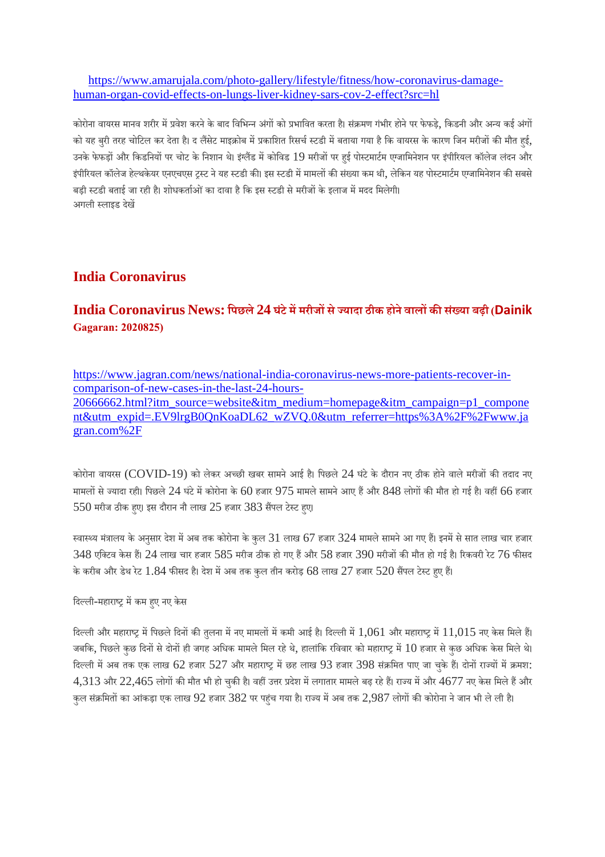https://www.amarujala.com/photo-gallery/lifestyle/fitness/how-coronavirus-damagehuman-organ-covid-effects-on-lungs-liver-kidney-sars-cov-2-effect?src=hl

कोरोना वायरस मानव शरीर में प्रवेश करने के बाद विभिन्न अंगों को प्रभावित करता है। संक्रमण गंभीर होने पर फेफड़े, किडनी और अन्य कई अंगों को यह बुरी तरह चोटिल कर देता है। द लैंसेट माइक्रोब में प्रकाशित रिसर्च स्टडी में बताया गया है कि वायरस के कारण जिन मरीजों की मौत हई, उनके फेफड़ों और किडनियों पर चोट के निशान थे। इंग्लैंड में कोविड 19 मरीजों पर हुई पोस्टमार्टम एग्जामिनेशन पर इंपीरियल कॉलेज लंदन और इंपीरियल कॉलेज हेल्थकेयर एनएचएस टस्ट ने यह स्टडी की। इस स्टडी में मामलों की संख्या कम थी, लेकिन यह पोस्टमार्टम एग्जामिनेशन की सबसे बड़ी स्टडी बताई जा रही है। शोधकर्ताओं का दावा है कि इस स्टडी से मरीजों के इलाज में मदद मिलेगी। अगली लाइड देख

## **India Coronavirus**

## **India Coronavirus News: िपछले24 घंटेममरीजसेयादा ठीक होनेवालकसं या बढ़ी (Dainik Gagaran: 2020825)**

https://www.jagran.com/news/national-india-coronavirus-news-more-patients-recover-incomparison-of-new-cases-in-the-last-24-hours-20666662.html?itm\_source=website&itm\_medium=homepage&itm\_campaign=p1\_compone nt&utm\_expid=.EV9lrgB0QnKoaDL62\_wZVQ.0&utm\_referrer=https%3A%2F%2Fwww.ja gran.com%2F

कोरोना वायरस (COVID-19) को लेकर अच्छी खबर सामने आई है। पिछले 24 घंटे के दौरान नए ठीक होने वाले मरीजों की तदाद नए मामलों से ज्यादा रही। पिछले 24 घंटे में कोरोना के 60 हजार 975 मामले सामने आए हैं और 848 लोगों की मौत हो गई है। वहीं 66 हजार  $550$  मरीज ठीक हुए। इस दौरान नौ लाख  $25$  हजार  $383$  सैंपल टेस्ट हुए।

स्वास्थ्य मंत्रालय के अनुसार देश में अब तक कोरोना के कुल 31 लाख 67 हजार 324 मामले सामने आ गए हैं। इनमें से सात लाख चार हजार  $348$  एक्टिव केस हैं।  $24$  लाख चार हजार  $585$  मरीज ठीक हो गए हैं और  $58$  हजार  $390$  मरीजों की मौत हो गई है। रिकवरी रेट  $76$  फीसद के करीब और डेथ रेट 1.84 फीसद है। देश में अब तक कुल तीन करोड़ 68 लाख 27 हजार 520 सैंपल टेस्ट हुए हैं।

दिल्ली-महाराष्ट्र में कम हए नए केस

दिल्ली और महाराष्ट्र में पिछले दिनों की तुलना में नए मामलों में कमी आई है। दिल्ली में  $1,061$  और महाराष्ट्र में  $11,015$  नए केस मिले हैं। जबकि, पिछले कुछ दिनों से दोनों ही जगह अधिक मामले मिल रहे थे, हालांकि रविवार को महाराष्ट्र में  $10$  हजार से कुछ अधिक केस मिले थे। दिल्ली में अब तक एक लाख 62 हजार 527 और महाराष्ट्र में छह लाख 93 हजार 398 संक्रमित पाए जा चुके हैं। दोनों राज्यों में क्रमश:  $4,313$  और  $22,465$  लोगों की मौत भी हो चुकी है। वहीं उत्तर प्रदेश में लगातार मामले बढ़ रहे हैं। राज्य में और  $4677$  नए केस मिले हैं और कुल संक्रमितों का आंकड़ा एक लाख 92 हजार 382 पर पहुंच गया है। राज्य में अब तक 2,987 लोगों की कोरोना ने जान भी ले ली है।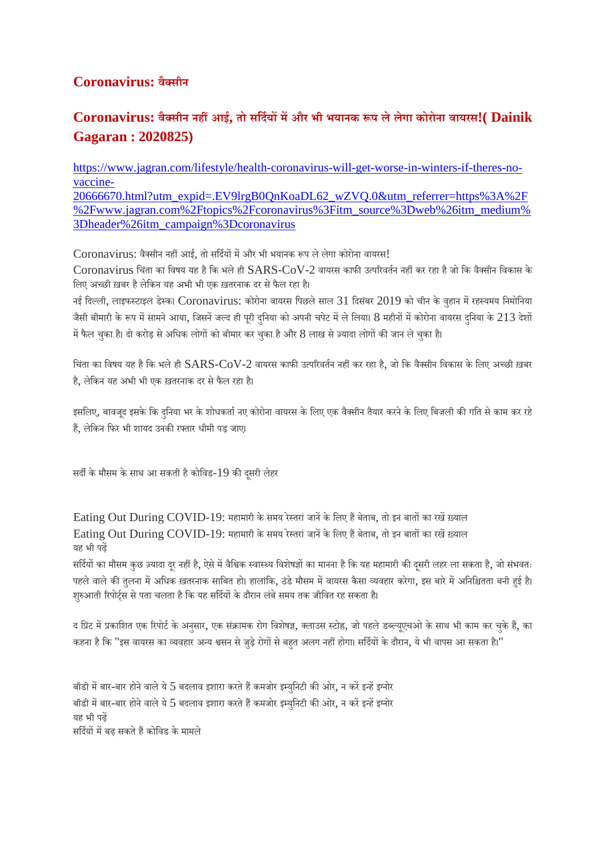## **Coronavirus: वैसीन**

## **Coronavirus: वैसीन नहआई, तो सिदयमऔर भी भयानक प लेलेगा कोरोना वायरस!( Dainik Gagaran : 2020825)**

https://www.jagran.com/lifestyle/health-coronavirus-will-get-worse-in-winters-if-theres-novaccine-20666670.html?utm\_expid=.EV9lrgB0QnKoaDL62\_wZVQ.0&utm\_referrer=https%3A%2F %2Fwww.jagran.com%2Ftopics%2Fcoronavirus%3Fitm\_source%3Dweb%26itm\_medium% 3Dheader%26itm\_campaign%3Dcoronavirus

Coronavirus: वैक्सीन नहीं आई, तो सर्दियों में और भी भयानक रूप ले लेगा कोरोना वायरस!

 $\rm Coronavirus$  चिंता का विषय यह है कि भले ही  $\rm SARS\text{-}CoV\text{-}2$  वायरस काफी उत्परिवर्तन नहीं कर रहा है जो कि वैक्सीन विकास के लिए अच्छी ख़बर है लेकिन यह अभी भी एक ख़तरनाक दर से फैल रहा है।

नई दिल्ली, लाइफस्टाइल डेस्क। Coronavirus: कोरोना वायरस पिछले साल 31 दिसंबर 2019 को चीन के वहान में रहस्यमय निमोनिया जैसी बीमारी के रूप में सामने आया, जिसनें जल्द ही पूरी दनिया को अपनी चपेट में ले लिया। 8 महीनों में कोरोना वायरस दनिया के 213 देशों में फैल चुका है। दो करोड़ से अधिक लोगों को बीमार कर चुका है और 8 लाख से ज़्यादा लोगों की जान ले चुका है।

चिंता का विषय यह है कि भले ही  $SARS\text{-}CoV\text{-}2$  वायरस काफी उत्परिवर्तन नहीं कर रहा है, जो कि वैक्सीन विकास के लिए अच्छी ख़बर है, लेकिन यह अभी भी एक ख़तरनाक दर से फैल रहा है।

इसलिए, बावजद इसके कि दनिया भर के शोधकर्ता नए कोरोना वायरस के लिए एक वैक्सीन तैयार करने के लिए बिजली की गति से काम कर रहे हैं, लेकिन फिर भी शायद उनकी रफ्तार धीमी पड़ जाए।

सर्दी के मौसम के साथ आ सकती है कोविड-19 की दूसरी लेहर

Eating Out During COVID-19: महामारी के समय रेस्तरां जानें के लिए हैं बेताब, तो इन बातों का रखें ख़्याल Eating Out During COVID-19: महामारी के समय रेस्तरां जानें के लिए हैं बेताब, तो इन बातों का रखें ख़्याल यह भी पढ़

सर्दियों का मौसम कुछ ज़्यादा दर नहीं है, ऐसे में वैश्विक स्वास्थ्य विशेषज्ञों का मानना है कि यह महामारी की दूसरी लहर ला सकता है, जो संभवतः पहले वाले की तुलना में अधिक ख़तरनाक साबित हो। हालांकि, ठंडे मौसम में वायरस कैसा व्यवहार करेगा, इस बारे में अनिश्चितता बनी हई है। शुरुआती रिपोर्ट्स से पता चलता है कि यह सर्दियों के दौरान लंबे समय तक जीवित रह सकता है।

द प्रिंट में प्रकाशित एक रिपोर्ट के अनुसार, एक संक्रामक रोग विशेषज्ञ, क्लाउस स्टोह, जो पहले डब्ल्यूएचओ के साथ भी काम कर चुके हैं, का कहना है कि "इस वायरस का व्यवहार अन्य श्वसन से जुड़े रोगों से बहत अलग नहीं होगा। सर्दियों के दौरान, ये भी वापस आ सकता है।"

बॉडी में बार-बार होने वाले ये 5 बदलाव इशारा करते हैं कमजोर इम्युनिटी की ओर, न करें इन्हें इग्नोर बॉडी में बार-बार होने वाले ये 5 बदलाव इशारा करते हैं कमजोर इम्युनिटी की ओर, न करें इन्हें इग्नोर यह भी पढ़ सर्दियों में बढ़ सकते हैं कोविड के मामले